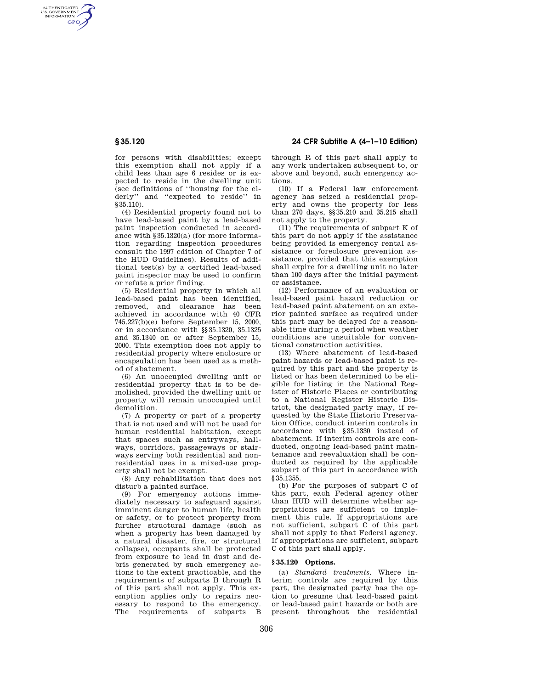AUTHENTICATED<br>U.S. GOVERNMENT<br>INFORMATION **GPO** 

> for persons with disabilities; except this exemption shall not apply if a child less than age 6 resides or is expected to reside in the dwelling unit (see definitions of ''housing for the elderly'' and ''expected to reside'' in  $§35.110$ ).

> (4) Residential property found not to have lead-based paint by a lead-based paint inspection conducted in accordance with §35.1320(a) (for more information regarding inspection procedures consult the 1997 edition of Chapter 7 of the HUD Guidelines). Results of additional test(s) by a certified lead-based paint inspector may be used to confirm or refute a prior finding.

> (5) Residential property in which all lead-based paint has been identified, removed, and clearance has been achieved in accordance with 40 CFR 745.227(b)(e) before September 15, 2000, or in accordance with §§35.1320, 35.1325 and 35.1340 on or after September 15, 2000. This exemption does not apply to residential property where enclosure or encapsulation has been used as a method of abatement.

> (6) An unoccupied dwelling unit or residential property that is to be demolished, provided the dwelling unit or property will remain unoccupied until demolition.

> (7) A property or part of a property that is not used and will not be used for human residential habitation, except that spaces such as entryways, hallways, corridors, passageways or stairways serving both residential and nonresidential uses in a mixed-use property shall not be exempt.

> (8) Any rehabilitation that does not disturb a painted surface.

> (9) For emergency actions immediately necessary to safeguard against imminent danger to human life, health or safety, or to protect property from further structural damage (such as when a property has been damaged by a natural disaster, fire, or structural collapse), occupants shall be protected from exposure to lead in dust and debris generated by such emergency actions to the extent practicable, and the requirements of subparts B through R of this part shall not apply. This exemption applies only to repairs necessary to respond to the emergency.<br>The requirements of subparts B The requirements of subparts

**§ 35.120 24 CFR Subtitle A (4–1–10 Edition)** 

through R of this part shall apply to any work undertaken subsequent to, or above and beyond, such emergency actions.

(10) If a Federal law enforcement agency has seized a residential property and owns the property for less than 270 days, §§35.210 and 35.215 shall not apply to the property.

(11) The requirements of subpart K of this part do not apply if the assistance being provided is emergency rental assistance or foreclosure prevention assistance, provided that this exemption shall expire for a dwelling unit no later than 100 days after the initial payment or assistance.

(12) Performance of an evaluation or lead-based paint hazard reduction or lead-based paint abatement on an exterior painted surface as required under this part may be delayed for a reasonable time during a period when weather conditions are unsuitable for conventional construction activities.

(13) Where abatement of lead-based paint hazards or lead-based paint is required by this part and the property is listed or has been determined to be eligible for listing in the National Register of Historic Places or contributing to a National Register Historic District, the designated party may, if requested by the State Historic Preservation Office, conduct interim controls in accordance with §35.1330 instead of abatement. If interim controls are conducted, ongoing lead-based paint maintenance and reevaluation shall be conducted as required by the applicable subpart of this part in accordance with §35.1355.

(b) For the purposes of subpart C of this part, each Federal agency other than HUD will determine whether appropriations are sufficient to implement this rule. If appropriations are not sufficient, subpart C of this part shall not apply to that Federal agency. If appropriations are sufficient, subpart C of this part shall apply.

## **§ 35.120 Options.**

(a) *Standard treatments.* Where interim controls are required by this part, the designated party has the option to presume that lead-based paint or lead-based paint hazards or both are present throughout the residential